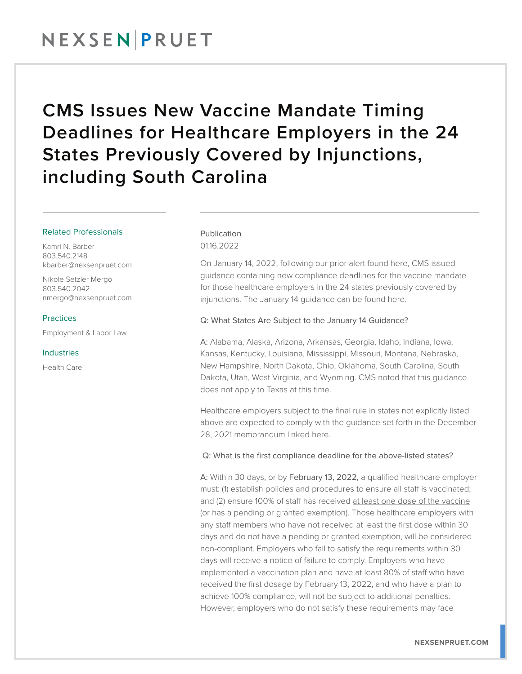# NEXSENPRUET

# CMS Issues New Vaccine Mandate Timing Deadlines for Healthcare Employers in the 24 States Previously Covered by Injunctions, including South Carolina

#### Related Professionals

Kamri N. Barber 803.540.2148 kbarber@nexsenpruet.com

Nikole Setzler Mergo 803.540.2042 nmergo@nexsenpruet.com

# Practices

Employment & Labor Law

### Industries

Health Care

### Publication 0116.2022

On January 14, 2022, following our prior alert found here, CMS issued guidance containing new compliance deadlines for the vaccine mandate for those healthcare employers in the 24 states previously covered by injunctions. The January 14 guidance can be found here.

## Q: What States Are Subject to the January 14 Guidance?

A: Alabama, Alaska, Arizona, Arkansas, Georgia, Idaho, Indiana, Iowa, Kansas, Kentucky, Louisiana, Mississippi, Missouri, Montana, Nebraska, New Hampshire, North Dakota, Ohio, Oklahoma, South Carolina, South Dakota, Utah, West Virginia, and Wyoming. CMS noted that this guidance does not apply to Texas at this time.

Healthcare employers subject to the final rule in states not explicitly listed above are expected to comply with the guidance set forth in the December 28, 2021 memorandum linked here.

Q: What is the first compliance deadline for the above-listed states?

A: Within 30 days, or by February 13, 2022, a qualified healthcare employer must: (1) establish policies and procedures to ensure all staff is vaccinated; and (2) ensure 100% of staff has received at least one dose of the vaccine (or has a pending or granted exemption). Those healthcare employers with any staff members who have not received at least the first dose within 30 days and do not have a pending or granted exemption, will be considered non-compliant. Employers who fail to satisfy the requirements within 30 days will receive a notice of failure to comply. Employers who have implemented a vaccination plan and have at least 80% of staff who have received the first dosage by February 13, 2022, and who have a plan to achieve 100% compliance, will not be subject to additional penalties. However, employers who do not satisfy these requirements may face